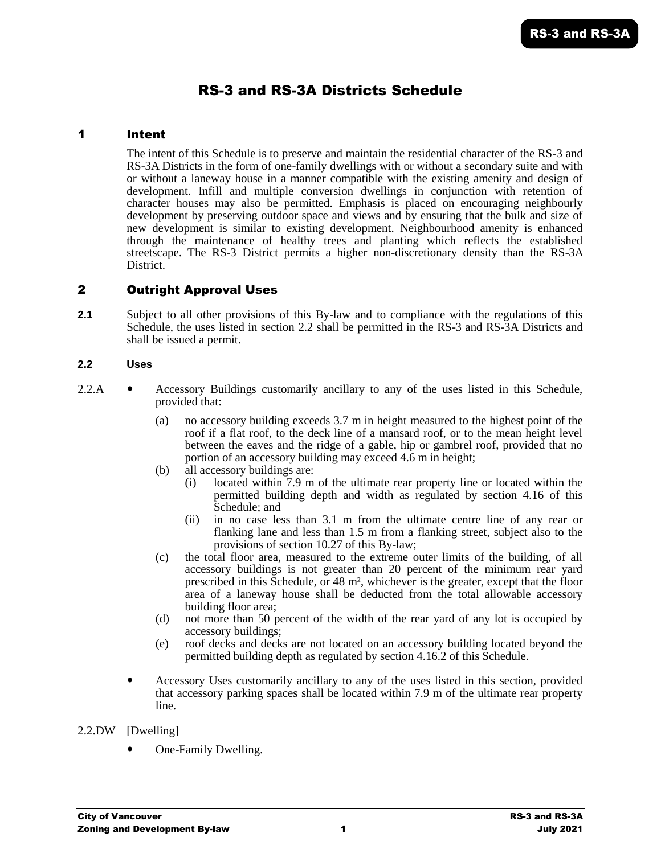# RS-3 and RS-3A Districts Schedule

## 1 Intent

The intent of this Schedule is to preserve and maintain the residential character of the RS-3 and RS-3A Districts in the form of one-family dwellings with or without a secondary suite and with or without a laneway house in a manner compatible with the existing amenity and design of development. Infill and multiple conversion dwellings in conjunction with retention of character houses may also be permitted. Emphasis is placed on encouraging neighbourly development by preserving outdoor space and views and by ensuring that the bulk and size of new development is similar to existing development. Neighbourhood amenity is enhanced through the maintenance of healthy trees and planting which reflects the established streetscape. The RS-3 District permits a higher non-discretionary density than the RS-3A District.

# 2 Outright Approval Uses

**2.1** Subject to all other provisions of this By-law and to compliance with the regulations of this Schedule, the uses listed in section 2.2 shall be permitted in the RS-3 and RS-3A Districts and shall be issued a permit.

#### **2.2 Uses**

- 2.2.A Accessory Buildings customarily ancillary to any of the uses listed in this Schedule, provided that:
	- (a) no accessory building exceeds 3.7 m in height measured to the highest point of the roof if a flat roof, to the deck line of a mansard roof, or to the mean height level between the eaves and the ridge of a gable, hip or gambrel roof, provided that no portion of an accessory building may exceed 4.6 m in height;
	- (b) all accessory buildings are:
		- (i) located within 7.9 m of the ultimate rear property line or located within the permitted building depth and width as regulated by section 4.16 of this Schedule; and
		- (ii) in no case less than 3.1 m from the ultimate centre line of any rear or flanking lane and less than 1.5 m from a flanking street, subject also to the provisions of section 10.27 of this By-law;
	- (c) the total floor area, measured to the extreme outer limits of the building, of all accessory buildings is not greater than 20 percent of the minimum rear yard prescribed in this Schedule, or 48 m², whichever is the greater, except that the floor area of a laneway house shall be deducted from the total allowable accessory building floor area;
	- (d) not more than 50 percent of the width of the rear yard of any lot is occupied by accessory buildings;
	- (e) roof decks and decks are not located on an accessory building located beyond the permitted building depth as regulated by section 4.16.2 of this Schedule.
	- Accessory Uses customarily ancillary to any of the uses listed in this section, provided that accessory parking spaces shall be located within 7.9 m of the ultimate rear property line.

#### 2.2.DW [Dwelling]

One-Family Dwelling.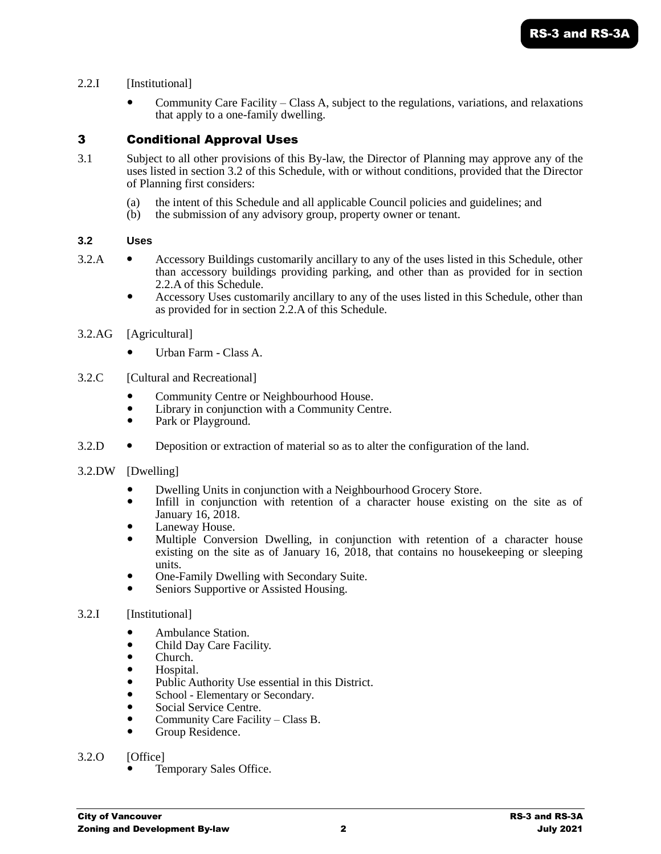## 2.2.I [Institutional]

 Community Care Facility – Class A, subject to the regulations, variations, and relaxations that apply to a one-family dwelling.

# 3 Conditional Approval Uses

- 3.1 Subject to all other provisions of this By-law, the Director of Planning may approve any of the uses listed in section 3.2 of this Schedule, with or without conditions, provided that the Director of Planning first considers:
	- (a) the intent of this Schedule and all applicable Council policies and guidelines; and
	- (b) the submission of any advisory group, property owner or tenant.

#### **3.2 Uses**

- 3.2.A Accessory Buildings customarily ancillary to any of the uses listed in this Schedule, other than accessory buildings providing parking, and other than as provided for in section 2.2.A of this Schedule.
	- Accessory Uses customarily ancillary to any of the uses listed in this Schedule, other than as provided for in section 2.2.A of this Schedule.

#### 3.2.AG [Agricultural]

- Urban Farm Class A.
- 3.2.C [Cultural and Recreational]
	- Community Centre or Neighbourhood House.
	- Library in conjunction with a Community Centre.
	- Park or Playground.
- 3.2.D **.** Deposition or extraction of material so as to alter the configuration of the land.

#### 3.2.DW [Dwelling]

- Dwelling Units in conjunction with a Neighbourhood Grocery Store.
- Infill in conjunction with retention of a character house existing on the site as of January 16, 2018.
- Laneway House.
- Multiple Conversion Dwelling, in conjunction with retention of a character house existing on the site as of January 16,  $2018$ , that contains no house keeping or sleeping units.
- One-Family Dwelling with Secondary Suite.
- Seniors Supportive or Assisted Housing.

## 3.2.I [Institutional]

- Ambulance Station.
- Child Day Care Facility.
- Church.
- Hospital.
- Public Authority Use essential in this District.
- School Elementary or Secondary.
- Social Service Centre.
- Community Care Facility Class B.
- Group Residence.
- 3.2.0 [Office]
	- Temporary Sales Office.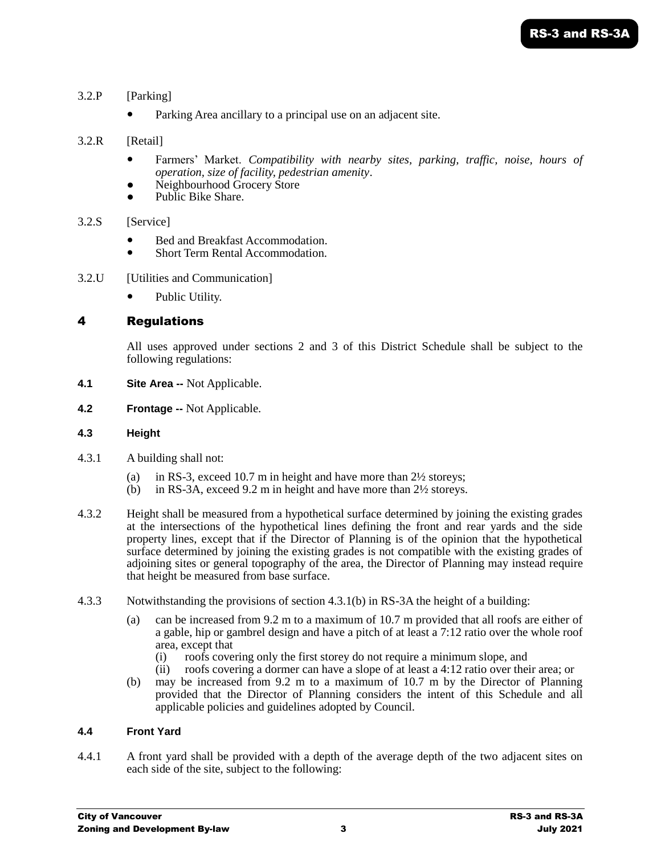- 3.2.P [Parking]
	- Parking Area ancillary to a principal use on an adjacent site.
- 3.2.R [Retail]
	- Farmers' Market. *Compatibility with nearby sites, parking, traffic, noise, hours of operation, size of facility, pedestrian amenity*.
	- Neighbourhood Grocery Store
	- Public Bike Share.
- 3.2.S [Service]
	- Bed and Breakfast Accommodation.
	- Short Term Rental Accommodation.
- 3.2.U [Utilities and Communication]
	- Public Utility.

# 4 Regulations

All uses approved under sections 2 and 3 of this District Schedule shall be subject to the following regulations:

- **4.1 Site Area --** Not Applicable.
- **4.2 Frontage --** Not Applicable.

## **4.3 Height**

- 4.3.1 A building shall not:
	- (a) in RS-3, exceed 10.7 m in height and have more than 2½ storeys;
	- (b) in RS-3A, exceed 9.2 m in height and have more than 2½ storeys.
- 4.3.2 Height shall be measured from a hypothetical surface determined by joining the existing grades at the intersections of the hypothetical lines defining the front and rear yards and the side property lines, except that if the Director of Planning is of the opinion that the hypothetical surface determined by joining the existing grades is not compatible with the existing grades of adjoining sites or general topography of the area, the Director of Planning may instead require that height be measured from base surface.
- 4.3.3 Notwithstanding the provisions of section 4.3.1(b) in RS-3A the height of a building:
	- (a) can be increased from 9.2 m to a maximum of 10.7 m provided that all roofs are either of a gable, hip or gambrel design and have a pitch of at least a 7:12 ratio over the whole roof area, except that
		- (i) roofs covering only the first storey do not require a minimum slope, and (ii) roofs covering a dormer can have a slope of at least a  $4:12$  ratio over the
		- roofs covering a dormer can have a slope of at least a 4:12 ratio over their area; or
	- (b) may be increased from 9.2 m to a maximum of 10.7 m by the Director of Planning provided that the Director of Planning considers the intent of this Schedule and all applicable policies and guidelines adopted by Council.

## **4.4 Front Yard**

4.4.1 A front yard shall be provided with a depth of the average depth of the two adjacent sites on each side of the site, subject to the following: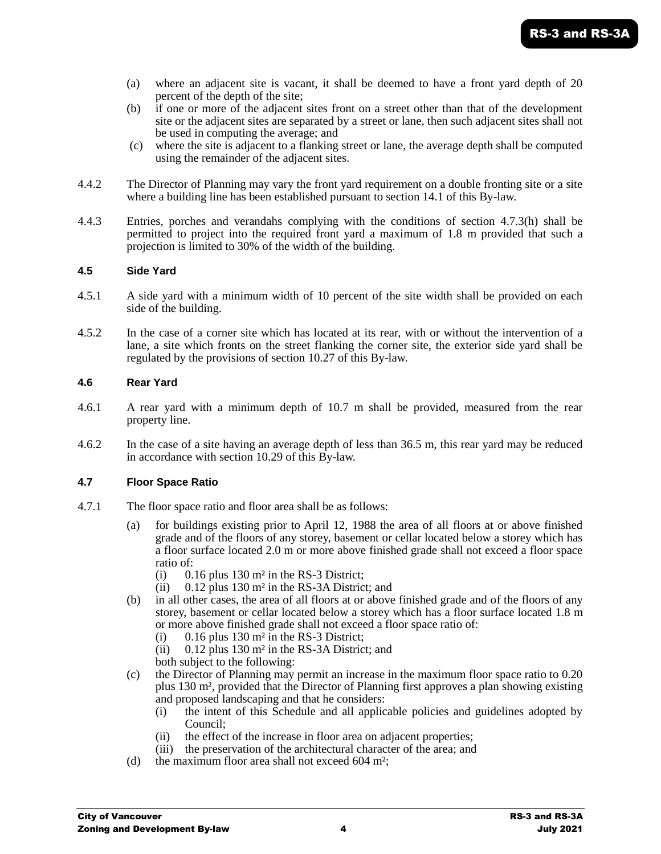- (a) where an adjacent site is vacant, it shall be deemed to have a front yard depth of 20 percent of the depth of the site;
- (b) if one or more of the adjacent sites front on a street other than that of the development site or the adjacent sites are separated by a street or lane, then such adjacent sites shall not be used in computing the average; and
- (c) where the site is adjacent to a flanking street or lane, the average depth shall be computed using the remainder of the adjacent sites.
- 4.4.2 The Director of Planning may vary the front yard requirement on a double fronting site or a site where a building line has been established pursuant to section 14.1 of this By-law.
- 4.4.3 Entries, porches and verandahs complying with the conditions of section 4.7.3(h) shall be permitted to project into the required front yard a maximum of 1.8 m provided that such a projection is limited to 30% of the width of the building.

#### **4.5 Side Yard**

- 4.5.1 A side yard with a minimum width of 10 percent of the site width shall be provided on each side of the building.
- 4.5.2 In the case of a corner site which has located at its rear, with or without the intervention of a lane, a site which fronts on the street flanking the corner site, the exterior side yard shall be regulated by the provisions of section 10.27 of this By-law.

#### **4.6 Rear Yard**

- 4.6.1 A rear yard with a minimum depth of 10.7 m shall be provided, measured from the rear property line.
- 4.6.2 In the case of a site having an average depth of less than 36.5 m, this rear yard may be reduced in accordance with section 10.29 of this By-law.

#### **4.7 Floor Space Ratio**

- 4.7.1 The floor space ratio and floor area shall be as follows:
	- (a) for buildings existing prior to April 12, 1988 the area of all floors at or above finished grade and of the floors of any storey, basement or cellar located below a storey which has a floor surface located 2.0 m or more above finished grade shall not exceed a floor space ratio of:
		- (i)  $0.16$  plus 130 m<sup>2</sup> in the RS-3 District;
		- (ii)  $0.12$  plus 130 m<sup>2</sup> in the RS-3A District; and
	- (b) in all other cases, the area of all floors at or above finished grade and of the floors of any storey, basement or cellar located below a storey which has a floor surface located 1.8 m or more above finished grade shall not exceed a floor space ratio of:
		- (i)  $0.16$  plus 130 m<sup>2</sup> in the RS-3 District;
		- (ii) 0.12 plus 130 m² in the RS-3A District; and
		- both subject to the following:
	- (c) the Director of Planning may permit an increase in the maximum floor space ratio to 0.20 plus 130 m², provided that the Director of Planning first approves a plan showing existing and proposed landscaping and that he considers:
		- (i) the intent of this Schedule and all applicable policies and guidelines adopted by Council;
		- (ii) the effect of the increase in floor area on adjacent properties;
		- (iii) the preservation of the architectural character of the area; and
	- (d) the maximum floor area shall not exceed 604 m²;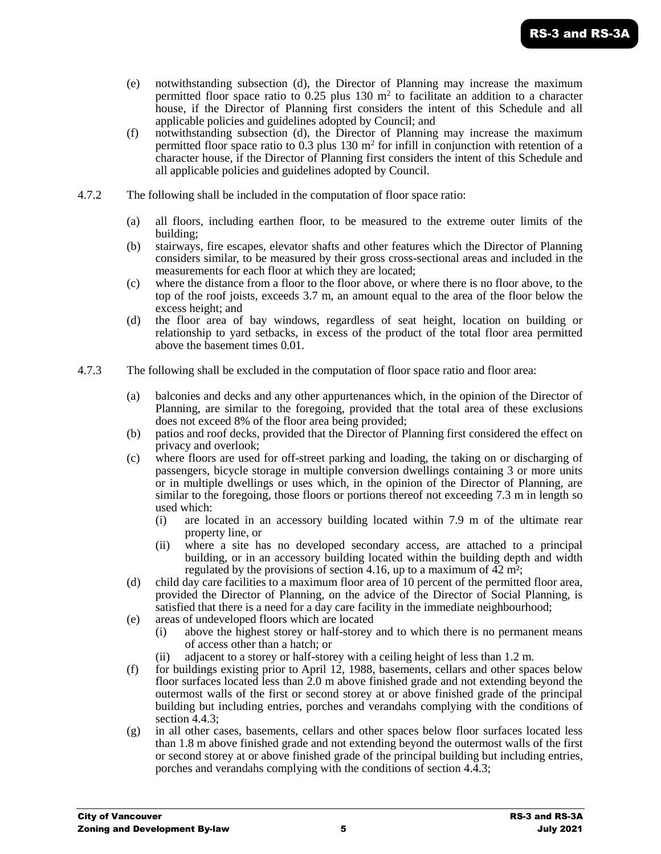- (e) notwithstanding subsection (d), the Director of Planning may increase the maximum permitted floor space ratio to  $0.25$  plus 130 m<sup>2</sup> to facilitate an addition to a character house, if the Director of Planning first considers the intent of this Schedule and all applicable policies and guidelines adopted by Council; and
- (f) notwithstanding subsection (d), the Director of Planning may increase the maximum permitted floor space ratio to  $0.3$  plus 130 m<sup>2</sup> for infill in conjunction with retention of a character house, if the Director of Planning first considers the intent of this Schedule and all applicable policies and guidelines adopted by Council.
- 4.7.2 The following shall be included in the computation of floor space ratio:
	- (a) all floors, including earthen floor, to be measured to the extreme outer limits of the building;
	- (b) stairways, fire escapes, elevator shafts and other features which the Director of Planning considers similar, to be measured by their gross cross-sectional areas and included in the measurements for each floor at which they are located;
	- (c) where the distance from a floor to the floor above, or where there is no floor above, to the top of the roof joists, exceeds 3.7 m, an amount equal to the area of the floor below the excess height; and
	- (d) the floor area of bay windows, regardless of seat height, location on building or relationship to yard setbacks, in excess of the product of the total floor area permitted above the basement times 0.01.
- 4.7.3 The following shall be excluded in the computation of floor space ratio and floor area:
	- (a) balconies and decks and any other appurtenances which, in the opinion of the Director of Planning, are similar to the foregoing, provided that the total area of these exclusions does not exceed 8% of the floor area being provided;
	- (b) patios and roof decks, provided that the Director of Planning first considered the effect on privacy and overlook;
	- (c) where floors are used for off-street parking and loading, the taking on or discharging of passengers, bicycle storage in multiple conversion dwellings containing 3 or more units or in multiple dwellings or uses which, in the opinion of the Director of Planning, are similar to the foregoing, those floors or portions thereof not exceeding 7.3 m in length so used which:
		- (i) are located in an accessory building located within 7.9 m of the ultimate rear property line, or
		- (ii) where a site has no developed secondary access, are attached to a principal building, or in an accessory building located within the building depth and width regulated by the provisions of section 4.16, up to a maximum of 42 m²;
	- (d) child day care facilities to a maximum floor area of 10 percent of the permitted floor area, provided the Director of Planning, on the advice of the Director of Social Planning, is satisfied that there is a need for a day care facility in the immediate neighbourhood;
	- (e) areas of undeveloped floors which are located
		- (i) above the highest storey or half-storey and to which there is no permanent means of access other than a hatch; or
		- adjacent to a storey or half-storey with a ceiling height of less than  $1.2$  m.
	- (f) for buildings existing prior to April 12, 1988, basements, cellars and other spaces below floor surfaces located less than 2.0 m above finished grade and not extending beyond the outermost walls of the first or second storey at or above finished grade of the principal building but including entries, porches and verandahs complying with the conditions of section 4.4.3;
	- (g) in all other cases, basements, cellars and other spaces below floor surfaces located less than 1.8 m above finished grade and not extending beyond the outermost walls of the first or second storey at or above finished grade of the principal building but including entries, porches and verandahs complying with the conditions of section 4.4.3;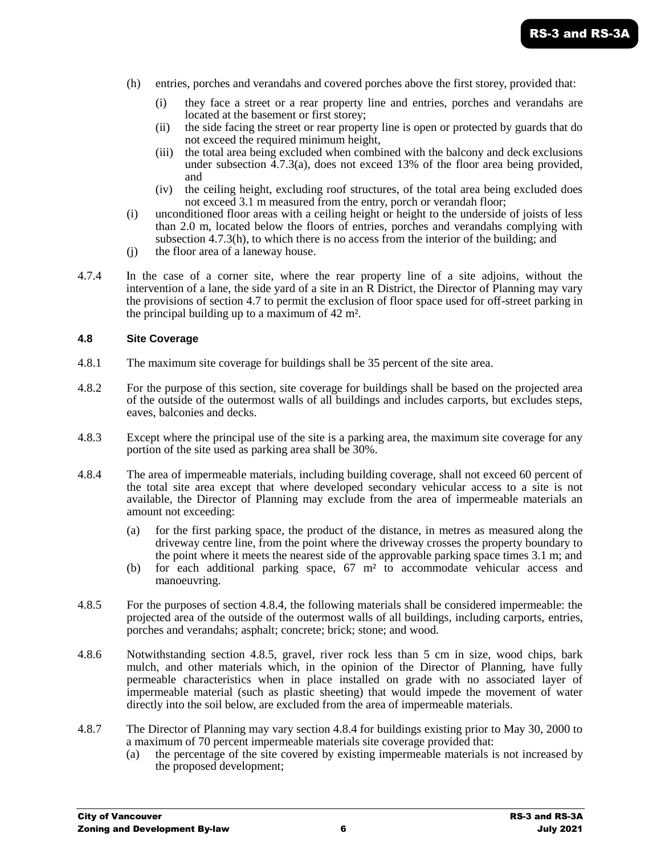- (h) entries, porches and verandahs and covered porches above the first storey, provided that:
	- (i) they face a street or a rear property line and entries, porches and verandahs are located at the basement or first storey;
	- (ii) the side facing the street or rear property line is open or protected by guards that do not exceed the required minimum height,
	- (iii) the total area being excluded when combined with the balcony and deck exclusions under subsection 4.7.3(a), does not exceed 13% of the floor area being provided, and
	- (iv) the ceiling height, excluding roof structures, of the total area being excluded does not exceed 3.1 m measured from the entry, porch or verandah floor;
- (i) unconditioned floor areas with a ceiling height or height to the underside of joists of less than 2.0 m, located below the floors of entries, porches and verandahs complying with subsection 4.7.3(h), to which there is no access from the interior of the building; and
- (j) the floor area of a laneway house.
- 4.7.4 In the case of a corner site, where the rear property line of a site adjoins, without the intervention of a lane, the side yard of a site in an R District, the Director of Planning may vary the provisions of section 4.7 to permit the exclusion of floor space used for off-street parking in the principal building up to a maximum of 42 m².

#### **4.8 Site Coverage**

- 4.8.1 The maximum site coverage for buildings shall be 35 percent of the site area.
- 4.8.2 For the purpose of this section, site coverage for buildings shall be based on the projected area of the outside of the outermost walls of all buildings and includes carports, but excludes steps, eaves, balconies and decks.
- 4.8.3 Except where the principal use of the site is a parking area, the maximum site coverage for any portion of the site used as parking area shall be 30%.
- 4.8.4 The area of impermeable materials, including building coverage, shall not exceed 60 percent of the total site area except that where developed secondary vehicular access to a site is not available, the Director of Planning may exclude from the area of impermeable materials an amount not exceeding:
	- (a) for the first parking space, the product of the distance, in metres as measured along the driveway centre line, from the point where the driveway crosses the property boundary to the point where it meets the nearest side of the approvable parking space times 3.1 m; and
	- (b) for each additional parking space, 67 m² to accommodate vehicular access and manoeuvring.
- 4.8.5 For the purposes of section 4.8.4, the following materials shall be considered impermeable: the projected area of the outside of the outermost walls of all buildings, including carports, entries, porches and verandahs; asphalt; concrete; brick; stone; and wood.
- 4.8.6 Notwithstanding section 4.8.5, gravel, river rock less than 5 cm in size, wood chips, bark mulch, and other materials which, in the opinion of the Director of Planning, have fully permeable characteristics when in place installed on grade with no associated layer of impermeable material (such as plastic sheeting) that would impede the movement of water directly into the soil below, are excluded from the area of impermeable materials.
- 4.8.7 The Director of Planning may vary section 4.8.4 for buildings existing prior to May 30, 2000 to a maximum of 70 percent impermeable materials site coverage provided that:
	- (a) the percentage of the site covered by existing impermeable materials is not increased by the proposed development;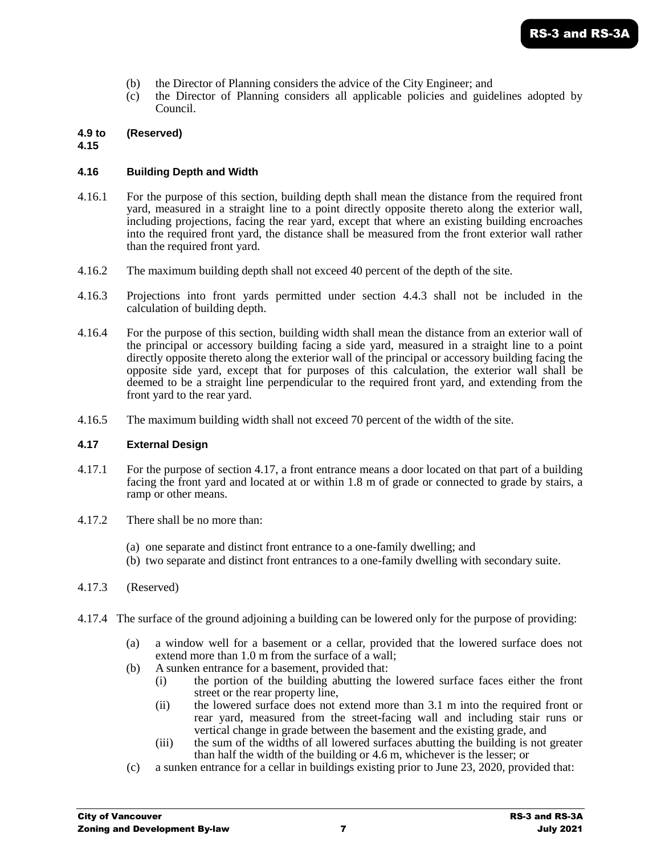- (b) the Director of Planning considers the advice of the City Engineer; and
- (c) the Director of Planning considers all applicable policies and guidelines adopted by Council.

## **4.9 to (Reserved)**

**4.15**

#### **4.16 Building Depth and Width**

- 4.16.1 For the purpose of this section, building depth shall mean the distance from the required front yard, measured in a straight line to a point directly opposite thereto along the exterior wall, including projections, facing the rear yard, except that where an existing building encroaches into the required front yard, the distance shall be measured from the front exterior wall rather than the required front yard.
- 4.16.2 The maximum building depth shall not exceed 40 percent of the depth of the site.
- 4.16.3 Projections into front yards permitted under section 4.4.3 shall not be included in the calculation of building depth.
- 4.16.4 For the purpose of this section, building width shall mean the distance from an exterior wall of the principal or accessory building facing a side yard, measured in a straight line to a point directly opposite thereto along the exterior wall of the principal or accessory building facing the opposite side yard, except that for purposes of this calculation, the exterior wall shall be deemed to be a straight line perpendicular to the required front yard, and extending from the front yard to the rear yard.
- 4.16.5 The maximum building width shall not exceed 70 percent of the width of the site.

#### **4.17 External Design**

- 4.17.1 For the purpose of section 4.17, a front entrance means a door located on that part of a building facing the front yard and located at or within 1.8 m of grade or connected to grade by stairs, a ramp or other means.
- 4.17.2 There shall be no more than:
	- (a) one separate and distinct front entrance to a one-family dwelling; and
	- (b) two separate and distinct front entrances to a one-family dwelling with secondary suite.
- 4.17.3 (Reserved)
- 4.17.4 The surface of the ground adjoining a building can be lowered only for the purpose of providing:
	- (a) a window well for a basement or a cellar, provided that the lowered surface does not extend more than 1.0 m from the surface of a wall;
	- (b) A sunken entrance for a basement, provided that:
		- (i) the portion of the building abutting the lowered surface faces either the front street or the rear property line,
		- (ii) the lowered surface does not extend more than 3.1 m into the required front or rear yard, measured from the street-facing wall and including stair runs or vertical change in grade between the basement and the existing grade, and
		- (iii) the sum of the widths of all lowered surfaces abutting the building is not greater than half the width of the building or 4.6 m, whichever is the lesser; or
	- (c) a sunken entrance for a cellar in buildings existing prior to June 23, 2020, provided that: